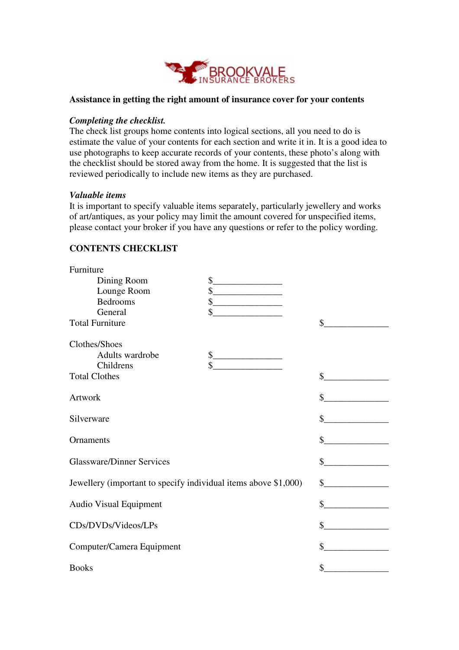

## **Assistance in getting the right amount of insurance cover for your contents**

## *Completing the checklist.*

The check list groups home contents into logical sections, all you need to do is estimate the value of your contents for each section and write it in. It is a good idea to use photographs to keep accurate records of your contents, these photo's along with the checklist should be stored away from the home. It is suggested that the list is reviewed periodically to include new items as they are purchased.

## *Valuable items*

Furniture

It is important to specify valuable items separately, particularly jewellery and works of art/antiques, as your policy may limit the amount covered for unspecified items, please contact your broker if you have any questions or refer to the policy wording.

## **CONTENTS CHECKLIST**

| Turiliturg                                                      |                                            |                                              |
|-----------------------------------------------------------------|--------------------------------------------|----------------------------------------------|
| Dining Room                                                     | \$<br><u> 1989 - Johann Barbara, martx</u> |                                              |
| Lounge Room                                                     | $\frac{1}{2}$                              |                                              |
| <b>Bedrooms</b>                                                 | $\begin{array}{c c} \n\hline\n\end{array}$ |                                              |
| General                                                         | \$                                         |                                              |
| <b>Total Furniture</b>                                          |                                            | \$                                           |
| Clothes/Shoes                                                   |                                            |                                              |
| Adults wardrobe                                                 | $\mathbb{S}$                               |                                              |
| Childrens                                                       | \$                                         |                                              |
| <b>Total Clothes</b>                                            |                                            | \$<br><u> 1990 - Jan Barnett, p</u>          |
| Artwork                                                         |                                            |                                              |
| Silverware                                                      |                                            | $\frac{1}{2}$                                |
| Ornaments                                                       |                                            | s                                            |
| <b>Glassware/Dinner Services</b>                                |                                            | $\sim$                                       |
| Jewellery (important to specify individual items above \$1,000) |                                            | $\frac{1}{2}$                                |
| <b>Audio Visual Equipment</b>                                   |                                            | <u>________________</u> __<br>\$             |
| CDs/DVDs/Videos/LPs                                             |                                            | $\frac{\text{S}}{\text{S}}$                  |
| Computer/Camera Equipment                                       |                                            | $\mathbb{S}^-$<br><u> 1989 - Jan Barbara</u> |
|                                                                 |                                            |                                              |
| <b>Books</b>                                                    |                                            | \$                                           |
|                                                                 |                                            |                                              |